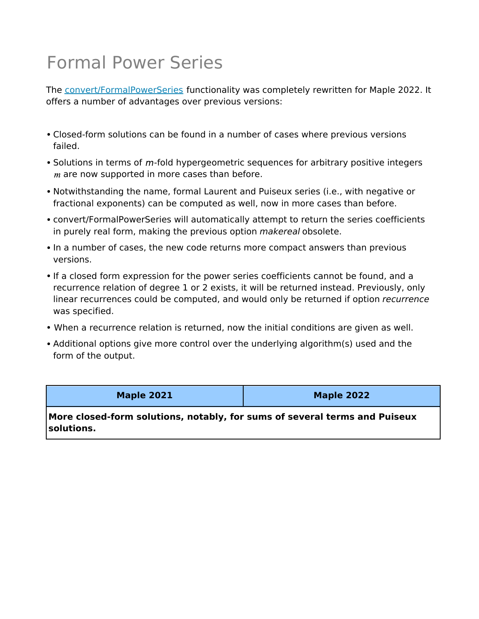## Formal Power Series

The convert/FormalPowerSeries functionality was completely rewritten for Maple 2022. It offers a number of advantages over previous versions:

- Closed-form solutions can be found in a number of cases where previous versions failed.
- Solutions in terms of  $m$ -fold hypergeometric sequences for arbitrary positive integers  $m$  are now supported in more cases than before.
- Notwithstanding the name, formal Laurent and Puiseux series (i.e., with negative or fractional exponents) can be computed as well, now in more cases than before.
- convert/FormalPowerSeries will automatically attempt to return the series coefficients in purely real form, making the previous option *makereal* obsolete.
- In a number of cases, the new code returns more compact answers than previous versions.
- If a closed form expression for the power series coefficients cannot be found, and a recurrence relation of degree 1 or 2 exists, it will be returned instead. Previously, only linear recurrences could be computed, and would only be returned if option *recurrence* was specified.
- When a recurrence relation is returned, now the initial conditions are given as well.
- Additional options give more control over the underlying algorithm(s) used and the form of the output.

**Maple 2021 Maple 2022**

**More closed-form solutions, notably, for sums of several terms and Puiseux solutions.**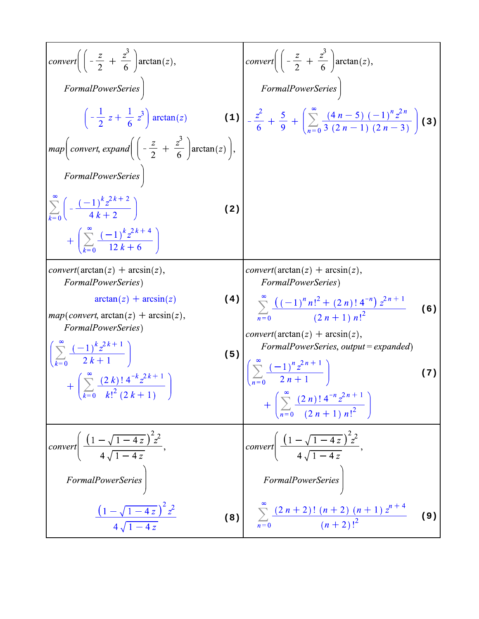conver
$$
\left( \left( -\frac{z}{2} + \frac{z^3}{6} \right) \arctan(z), \text{ FormalPowerSeries} \right)
$$

\nFormalPowerSeries

\n
$$
\left( -\frac{1}{2} z + \frac{1}{6} z^3 \right) \arctan(z)
$$

\nFormalPowerSeries

\nFormalPowerSeries

\nFormalPowerSeries

\nComper
$$
\left( \frac{z}{2} + \frac{z^3}{6} \right) \arctan(z)
$$

\nFormalPowerSeries

\nComper
$$
\left( \frac{z}{k-0} \left( -\frac{(-1)^k z^{2k+2}}{4k+2} \right) \arctan(z) \right), \text{FormalPowerSeries}
$$

\nComper
$$
\left( \frac{z}{k-0} \left( -\frac{(-1)^k z^{2k+4}}{12k+6} \right) \right)
$$

\nConver
$$
\left( \frac{z}{k-0} \left( -\frac{1}{2} + \frac{z^2}{6} \right) \arctan(z) \right), \text{ FormalPowerSeries}
$$

\nconver
$$
\left( \arctan(z) + \arcsin(z), \text{ FormalPowerSeries} \right)
$$

\nComper
$$
\left( \arctan(z) + \arcsin(z), \text{ FormalPowerSeries} \right)
$$

\nFormalPowerSeries

\nComper
$$
\left( \frac{z}{k-0} \left( -\frac{1}{2} \right) \right) \arctan(z) + \arcsin(z), \text{ FormalPowerSeries}
$$

\nComper
$$
\left( \frac{z}{k-0} \left( -\frac{1}{2} \right) \right) \arctan(z) + \arcsin(z), \text{ norm: } \left( \frac{z}{k-0} \left( -\frac{1}{2} \right) \right) \arctan(z) + \arcsin(z), \text{ norm: } \left( \frac{z}{k-0} \left( -\frac{1}{2} \right) \right) \arctan(z) + \arcsin(z), \text{ norm: } \left( \frac{z}{k-0} \left( -\frac{1}{2} \right) \right) \arctan(z) + \arcsin(z), \text{ norm: } \left( \frac{z}{k-0} \left( -\frac{1
$$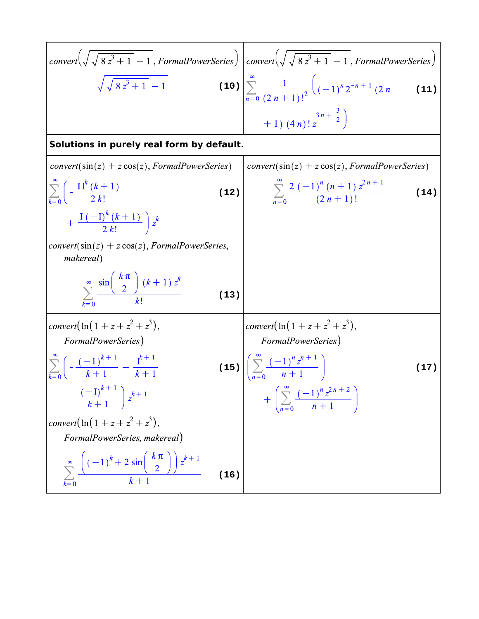conver
$$
\left(\sqrt{\sqrt{8z^3+1}-1},
$$
 FormalPowerSeries\right)

\nconver $\left(\sqrt{\sqrt{8z^3+1}-1},$  FormalPowerSeries\right)

\n
$$
\sqrt{\sqrt{8z^3+1}-1}
$$
\n**Solutions in purely real form by default.**

\nconver $\left(\sin(z) + z \cos(z),$  FormalPowerSeries\right)

\n
$$
\sum_{k=0}^{2n} \frac{1}{(2n+1)!^2} \left((-1)^n 2^{-n+1} (2n + 1) + 1) (4n)! z^{3n + \frac{3}{2}}\right)
$$
\n**Solutions in purely real form by default.**

\nconver $\left(\sin(z) + z \cos(z),$  FormalPowerSeries\right)

\n
$$
\sum_{k=0}^{\infty} \left(-\frac{11^k (k+1)}{2k!} - \frac{1}{2k!} + \frac{1(-1)^k (k+1)}{2k!} - \frac{1}{2k!} + \frac{1(-1)^k (k+1)}{2k!} + \frac{1(-1)^k (k+1) z^k}{2k!} + \frac{1(-1)^k (k+1) z^k}{k!} + \frac{1(-1)^k (k+1) z^k}{k!}
$$
\nConver $\left(\ln(1 + z + z^2 + z^3),\right)$ 

\nFormalPowerSeries

\n
$$
\sum_{k=0}^{\infty} \left(-\frac{(-1)^{k+1}}{k+1} - \frac{1}{k+1} + \frac{1}{k+1} + \frac{1}{k+1} + \frac{1}{k+1} + \frac{1}{k+1} + \frac{1}{k+1} + \frac{1}{k+1} + \frac{1}{k+1} + \frac{1}{k+1} + \frac{1}{k+1} + \frac{1}{k+1} + \frac{1}{k+1} + \frac{1}{k+1} + \frac{1}{k+1} + \frac{1}{k+1} + \frac{1}{k+1} + \frac{1}{k+1} + \frac{1}{k+1} + \frac{1}{k+1} + \frac{1}{k+1} + \frac{1}{k+1} + \frac{1}{k+1} + \frac{1}{k+1} + \frac{1}{k+1} + \frac{1}{k+1} + \frac{1}{k+1} + \
$$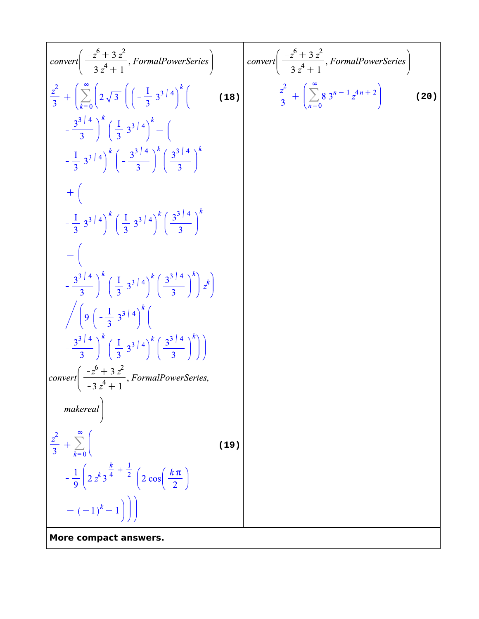conver
$$
\left(\frac{-z^6 + 3z^2}{-3z^4 + 1},
$$
 FormalPowerSeries $\right)$ 

\n $\frac{z^2}{3} + \left(\sum_{k=0}^{\infty} \left(2\sqrt{3}\left(\left(-\frac{1}{3}3^{3/4}\right)^k\right)\right)$ 

\n $\frac{z^2}{3} + \left(\sum_{k=0}^{\infty} \left(2\sqrt{3}\left(\left(-\frac{1}{3}3^{3/4}\right)^k\right)\right)\right)$ 

\n $\left(-\frac{1}{3}3^{3/4}\right)^k \left(-\frac{3^{3/4}}{3}\right)^k \left(-\frac{3^{3/4}}{3}\right)^k$ 

\n $\left(-\frac{1}{3}3^{3/4}\right)^k \left(-\frac{3^{3/4}}{3}\right)^k \left(\frac{3^{3/4}}{3}\right)^k$ 

\n $\left(-\left(-\frac{3^{3/4}}{3}\right)^k \left(\frac{1}{3}3^{3/4}\right)^k \left(\frac{3^{3/4}}{3}\right)^k\right)$ 

\n $\left(-\left(-\frac{3^{3/4}}{3}\right)^k \left(\frac{1}{3}3^{3/4}\right)^k \left(\frac{3^{3/4}}{3}\right)^k\right)$ 

\n $\left(-\left(-\frac{3^{3/4}}{3}\right)^k \left(\frac{1}{3}3^{3/4}\right)^k \left(\frac{3^{3/4}}{3}\right)^k\right)$ 

\nconver $\left(\frac{-z^6 + 3z^2}{-3z^4 + 1},$  FormalPowerSeries,  $\left(\frac{-3^{3/4}}{z^4 + 1}, \frac{z^3}{z^4 + 1}\right)$ 

\nconver $\left(\frac{-z^6 + 3z^2}{-3z^4 + 1},$  FormalPowerSeries,  $\left(\frac{-z^6 + 3z^2}{z^4 + 1},$  FormalPowerSeries,  $\left(\frac{-z^6 + 3z^2}{z^4 + 1},$  FormalPowerSeries,  $\left(\frac{-z^6 + 3z^2}{z^4 + 1},$  FormalPowerSeries,  $\left(\frac{-z^6 + 3z^2}{z^4 + 1},$  FormalPower Series,  $\left(\frac{-z^6$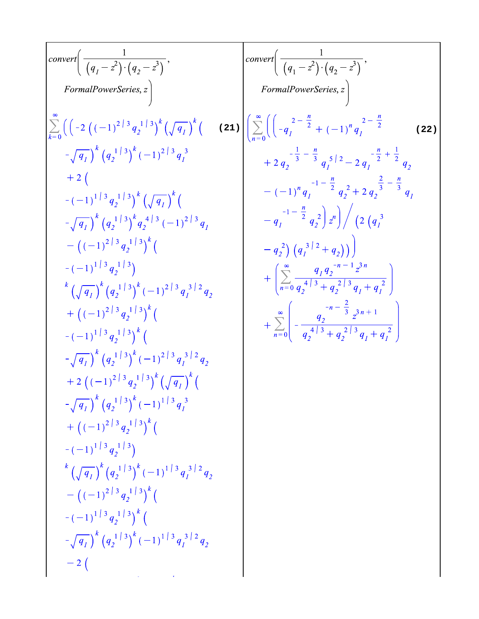**(21) (22)**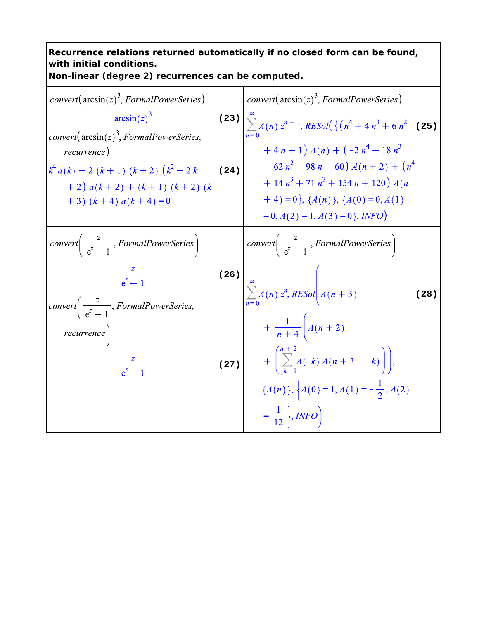## **Recurrence relations returned automatically if no closed form can be found, with initial conditions. Non-linear (degree 2) recurrences can be computed.**  $convert(\arcsin(z)^3, FormalPowerSeries)$  $convert(\arcsin(z)^3, FormalPowerSeries)$  $\arcsin(z)^3$ **(23) (25)** convert( $arcsin(z)^3$ , FormalPowerSeries,  $+4n+1) A(n) + (-2n^4 - 18n^3)$ recurrence) (24)  $-62n^2 - 98n - 60) A(n+2) + (n^4)$  $k^4 a(k) - 2 (k+1) (k+2) (k^2 + 2k)$  $+14n^3+71n^2+154n+120)A(n$  $+2(a(k+2) + (k+1) (k+2) (k)$  $(4) = 0$ ,  $\{A(n)\}, \{A(0) = 0, A(1)\}$  $+3)$   $(k+4)$   $a(k+4) = 0$  $= 0, A(2) = 1, A(3) = 0$ , INFO *convert* $\left(\frac{z}{e^z-1},$  *FormalPowerSeries* $\right)$ *convert*  $\left(\frac{z}{e^z-1},$  *FormalPowerSeries* **(26)**  $\frac{2}{a^2-1}$  $\sum_{n=0}^{\infty} A(n) z^n, RESol \n\begin{cases} A(n+3) \n\end{cases}$ **(28)***convert*  $\left(\frac{z}{e^z-1},$  *FormalPowerSeries*,  $+\frac{1}{n+4}\Bigg(A(n+2)$  $recurrence$  $+\left(\sum_{k=1}^{n+2}A(\_k)A(n+3-\_k)\right),$  $(27)$  $\frac{z}{e^z-1}$  ${A(n)}, \Big\{A(0) = 1, A(1) = -\frac{1}{2}, A(2)$  $=\frac{1}{12}$ , *INFO*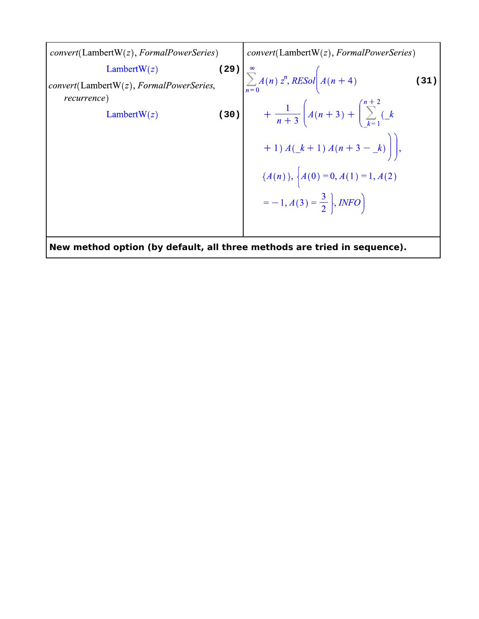convert(IambertW(z), FormalPowerSeries)

\nConnect(W(z), FormalPowerSeries)

\nconvert(IambertW(z), FormalPowerSeries)

\nconvert(IambertW(z), FormalPowerSeries)

\nLaturrence)

\nLambertW(z)

\nLengthW(z)

\nLengthW(z)

\nLengthW(z)

\nLengthW(z)

\nLengthW(z)

\nLengthW(z)

\nLengthW(z)

\nLengthW(z)

\nLengthW(z)

\nLengthW(z)

\nLengthW(z)

\nLengthW(z)

\nLengthW(z)

\nLengthW(z)

\nLengthW(z)

\nLengthW(z)

\nLengthW(z)

\nLengthW(z)

\nLengthW(z)

\nLengthW(z)

\nLengthW(z)

\nLengthW(z)

\nLengthW(z)

\nLengthW(z)

\nLengthW(z)

\nLengthW(z)

\nLengthW(z)

\nLengthW(z)

\nLengthW(z)

\nLengthW(z)

\nLengthW(z)

\nLengthW(z)

\nLengthW(z)

\nLengthW(z)

\nLengthW(z)

\nLengthW(z)

\nLengthW(z)

\nLengthW(z)

\nLengthW(z)

\nLengthW(z)

\nLengthW(z)

\nLengthW(z)

\nLengthW(z)

\nLengthW(z)

\nLengthW(z)

\nLengthW(z)

\nLengthW(z)

\nLengthW(z)

\nLengthW(z)

\nLengthW(z)

\nLengthW(z)

\nLengthW(z)

\nLengthW(z)

\nLengthW(z)

\nLengthW(z)

\nLengthW(z)

\nLengthW(z)

\nLengthW(z)

\nLengthW(z)

\nLengthW(z)

\nLengthW(z)

\nLeft: 
$$
h = 0
$$

\nLeft:  $h = 0$ 

\nLeft:  $h = 0$ 

\nLeft:  $h = 0$ 

\nLeft:  $h = 0$ 

\nLeft:  $h = 0$ 

\nLeft:  $h = 0$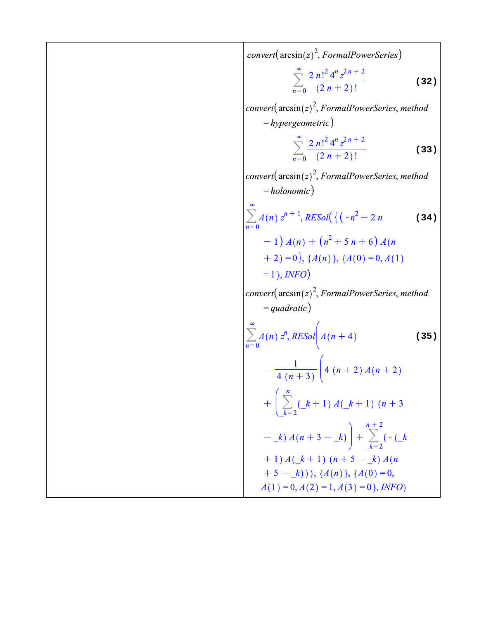conver1(
$$
\arcsin(z)^2
$$
, *FormalPowerSeries*)

\n
$$
\sum_{n=0}^{\infty} \frac{2n!^2 4^n z^{2n+2}}{(2n+2)!}
$$
\nconver1( $\arcsin(z)^2$ , *FormalPowerSeries, method*

\n
$$
= hypergeometric)
$$
\n
$$
\sum_{n=0}^{\infty} \frac{2n!^2 4^n z^{2n+2}}{(2n+2)!}
$$
\nconver1( $\arcsin(z)^2$ , *FormalPowerSeries, method*

\n
$$
= holonomic)
$$
\n
$$
\sum_{n=0}^{\infty} A(n) z^{n+1}, RESol(\{(-n^2 - 2n)(34)
$$
\n
$$
-1) A(n) + (n^2 + 5n + 6) A(n + 2) = 0\}, (A(n)), (A(0) = 0, A(1)
$$
\n
$$
= 1), INFO
$$
\nconver1( $\arcsin(z)^2$ , *FormalPowerSeries, method*

\n
$$
= quadratic)
$$
\n
$$
\sum_{n=0}^{\infty} A(n) z^n, RESol(A(n+4))
$$
\n
$$
= 4 (n+3) \left( 4 (n+2) A(n+2) \right)
$$
\n
$$
= \frac{1}{4 (n+3)} \left( 4 (n+2) A(n+2) \right)
$$
\n
$$
+ \left( \sum_{k=2}^n (-k+1) A(-k+1) (n+3) - k \right) + \sum_{k=2}^{n+2} (-k+1) A(k+1) (n+5-k) A(n+5-k) B(n+5-k) B(n+5-k) B(n+5-k) B(n+5-k) B(n+5-k) B(n+5-k) B(n+5-k) B(n+5-k) B(n+5-k) B(n+5-k) B(n+5-k) B(n+5-k) B(n+5-k) B(n+5-k) B(n+5-k) B(n+5-k) B(n+5-k) B(n+5-k) B(n+5-k) B(n+5-k) B(n+5-k) B(n+5-k) B(n+5-k) B(n+5-k) B(n+5-k) B(n+5-k) B(n+5-k) B(n+5-k) B(n+5-k) B(n+5-k) B(n+5-k) B(n+5-k) B(n+5-k) B(n+5-k) B(n+
$$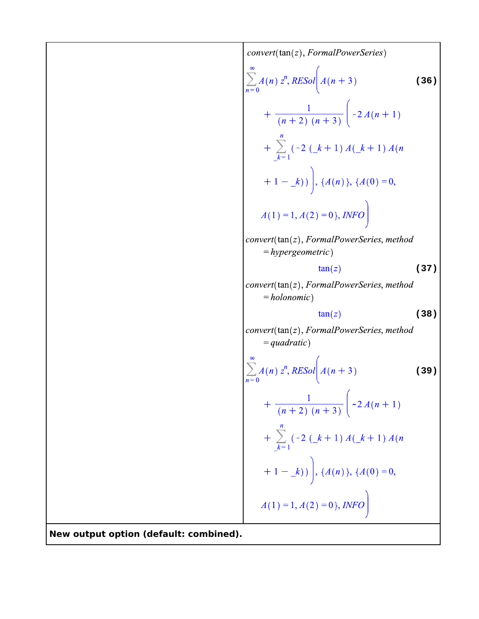**converr(tant(z), FormalPower Series)**

\n
$$
\sum_{n=0}^{\infty} A(n) z^n, RESol\left(A(n+3)\right) \qquad (36)
$$
\n
$$
+ \frac{1}{(n+2)(n+3)} \left(-2A(n+1)\right)
$$
\n
$$
+ \sum_{k=1}^{n} (-2(k+1)A(k+1)A(n+1)A(n+1) - k) \right), \{A(n)\}, \{A(0) = 0,
$$
\n
$$
A(1) = 1, A(2) = 0), INFO\left(\frac{1}{2}, \frac{1}{2}, \frac{1}{2}, \frac{1}{2}, \frac{1}{2}, \frac{1}{2}, \frac{1}{2}, \frac{1}{2}, \frac{1}{2}, \frac{1}{2}, \frac{1}{2}, \frac{1}{2}, \frac{1}{2}, \frac{1}{2}, \frac{1}{2}, \frac{1}{2}, \frac{1}{2}, \frac{1}{2}, \frac{1}{2}, \frac{1}{2}, \frac{1}{2}, \frac{1}{2}, \frac{1}{2}, \frac{1}{2}, \frac{1}{2}, \frac{1}{2}, \frac{1}{2}, \frac{1}{2}, \frac{1}{2}, \frac{1}{2}, \frac{1}{2}, \frac{1}{2}, \frac{1}{2}, \frac{1}{2}, \frac{1}{2}, \frac{1}{2}, \frac{1}{2}, \frac{1}{2}, \frac{1}{2}, \frac{1}{2}, \frac{1}{2}, \frac{1}{2}, \frac{1}{2}, \frac{1}{2}, \frac{1}{2}, \frac{1}{2}, \frac{1}{2}, \frac{1}{2}, \frac{1}{2}, \frac{1}{2}, \frac{1}{2}, \frac{1}{2}, \frac{1}{2}, \frac{1}{2}, \frac{1}{2}, \frac{1}{2}, \frac{1}{2}, \frac{1}{2}, \frac{1}{2}, \frac{1}{2}, \frac{1}{2}, \frac{1}{2}, \frac{1}{2}, \frac{1}{2}, \frac{1}{2}, \frac{1}{2}, \frac{1}{2}, \frac{1}{2}, \frac{1}{2}, \frac{1}{2}, \frac{1}{2}, \frac{1}{2}, \frac{1}{2}, \frac{1}{2}, \frac{1}{2}, \frac{1}{2}, \frac{1}{2}, \frac{1}{2}, \frac{1}{2}, \frac{1}{2}, \frac{1}{2}, \frac{1}{2}, \frac{1
$$